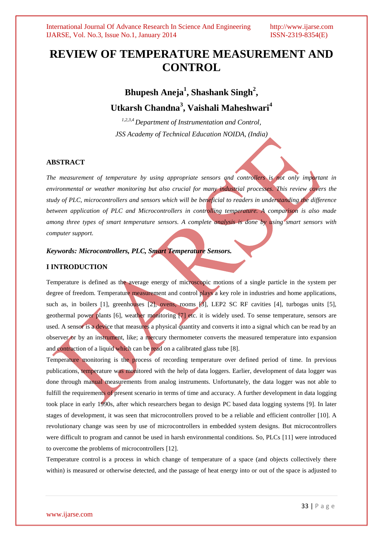# **REVIEW OF TEMPERATURE MEASUREMENT AND CONTROL**

# **Bhupesh Aneja<sup>1</sup> , Shashank Singh<sup>2</sup> , Utkarsh Chandna<sup>3</sup> , Vaishali Maheshwari<sup>4</sup>**

*1,2,3,4 Department of Instrumentation and Control, JSS Academy of Technical Education NOIDA, (India)*

# **ABSTRACT**

*The measurement of temperature by using appropriate sensors and controllers is not only important in environmental or weather monitoring but also crucial for many industrial processes. This review covers the study of PLC, microcontrollers and sensors which will be beneficial to readers in understanding the difference between application of PLC and Microcontrollers in controlling temperature. A comparison is also made among three types of smart temperature sensors. A complete analysis is done by using smart sensors with computer support.*

# *Keywords: Microcontrollers, PLC, Smart Temperature Sensors.*

# **I INTRODUCTION**

Temperature is defined as the average energy of microscopic motions of a single particle in the system per degree of freedom. Temperature measurement and control plays a key role in industries and home applications, such as, in boilers [1], greenhouses [2], ovens, rooms [3], LEP2 SC RF cavities [4], turbogas units [5], geothermal power plants [6], weather monitoring [7] etc. it is widely used. To sense temperature, sensors are used. A sensor is a device that measures a physical quantity and converts it into a signal which can be read by an observer or by an instrument, like; a mercury thermometer converts the measured temperature into expansion and contraction of a liquid which can be read on a calibrated glass tube [8].

Temperature monitoring is the process of recording temperature over defined period of time. In previous publications, temperature was monitored with the help of data loggers. Earlier, development of data logger was done through manual measurements from analog instruments. Unfortunately, the data logger was not able to fulfill the requirements of present scenario in terms of time and accuracy. A further development in data logging took place in early 1990s, after which researchers began to design PC based data logging systems [9]. In later stages of development, it was seen that microcontrollers proved to be a reliable and efficient controller [10]. A revolutionary change was seen by use of microcontrollers in embedded system designs. But microcontrollers were difficult to program and cannot be used in harsh environmental conditions. So, PLCs [11] were introduced to overcome the problems of microcontrollers [12].

Temperature control is a process in which change of temperature of a space (and objects collectively there within) is measured or otherwise detected, and the passage of heat energy into or out of the space is adjusted to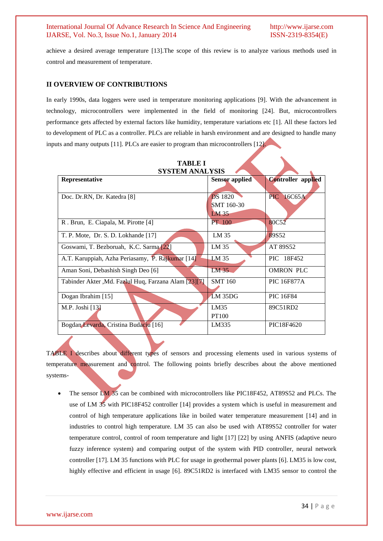achieve a desired average temperature [13].The scope of this review is to analyze various methods used in control and measurement of temperature.

# **II OVERVIEW OF CONTRIBUTIONS**

In early 1990s, data loggers were used in temperature monitoring applications [9]. With the advancement in technology, microcontrollers were implemented in the field of monitoring [24]. But, microcontrollers performance gets affected by external factors like humidity, temperature variations etc [1]. All these factors led to development of PLC as a controller. PLCs are reliable in harsh environment and are designed to handle many inputs and many outputs [11]. PLCs are easier to program than microcontrollers [12].

| <b>SYSTEM ANALYSIS</b>                               |                       |                           |  |
|------------------------------------------------------|-----------------------|---------------------------|--|
| Representative                                       | <b>Sensor</b> applied | <b>Controller</b> applied |  |
|                                                      |                       |                           |  |
| Doc. Dr.RN, Dr. Katedra [8]                          | <b>DS</b> 1820        | PIC<br>16C65A             |  |
|                                                      | SMT 160-30            |                           |  |
|                                                      | LM35                  |                           |  |
| R. Brun, E. Ciapala, M. Pirotte [4]                  | PT 100                | 80C52                     |  |
| T. P. Mote, Dr. S. D. Lokhande [17]                  | LM 35                 | 89S52                     |  |
|                                                      |                       |                           |  |
| Goswami, T. Bezboruah, K.C. Sarma [22]               | LM 35                 | AT 89S52                  |  |
| A.T. Karuppiah, Azha Periasamy, P. Rajkumar [14]     | LM 35                 | PIC 18F452                |  |
| Aman Soni, Debashish Singh Deo [6]                   | LM <sub>35</sub>      | <b>OMRON PLC</b>          |  |
| Tabinder Akter, Md. Fazlul Huq, Farzana Alam [23][7] | <b>SMT 160</b>        | <b>PIC 16F877A</b>        |  |
|                                                      |                       |                           |  |
| Dogan Ibrahim [15]                                   | $LM$ 35DG             | <b>PIC 16F84</b>          |  |
| M.P. Joshi [13]                                      | LM35                  | 89C51RD2                  |  |
|                                                      | <b>PT100</b>          |                           |  |
| Bogdan Levarda, Cristina Budaciu [16]                | LM335                 | PIC18F4620                |  |

**TABLE I**

TABLE I describes about different types of sensors and processing elements used in various systems of temperature measurement and control. The following points briefly describes about the above mentioned systems-

 The sensor LM 35 can be combined with microcontrollers like PIC18F452, AT89S52 and PLCs. The use of LM 35 with PIC18F452 controller [14] provides a system which is useful in measurement and control of high temperature applications like in boiled water temperature measurement [14] and in industries to control high temperature. LM 35 can also be used with AT89S52 controller for water temperature control, control of room temperature and light [17] [22] by using ANFIS (adaptive neuro fuzzy inference system) and comparing output of the system with PID controller, neural network controller [17]. LM 35 functions with PLC for usage in geothermal power plants [6]. LM35 is low cost, highly effective and efficient in usage [6]. 89C51RD2 is interfaced with LM35 sensor to control the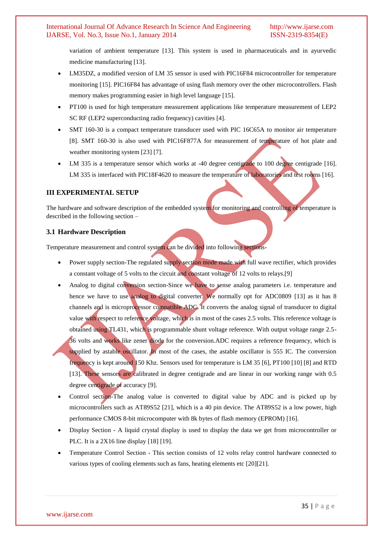variation of ambient temperature [13]. This system is used in pharmaceuticals and in ayurvedic medicine manufacturing [13].

- LM35DZ, a modified version of LM 35 sensor is used with PIC16F84 microcontroller for temperature monitoring [15]. PIC16F84 has advantage of using flash memory over the other microcontrollers. Flash memory makes programming easier in high level language [15].
- PT100 is used for high temperature measurement applications like temperature measurement of LEP2 SC RF (LEP2 superconducting radio frequency) cavities [4].
- SMT 160-30 is a compact temperature transducer used with PIC 16C65A to monitor air temperature [8]. SMT 160-30 is also used with PIC16F877A for measurement of temperature of hot plate and weather monitoring system [23] [7].
- LM 335 is a temperature sensor which works at -40 degree centigrade to 100 degree centigrade [16]. LM 335 is interfaced with PIC18F4620 to measure the temperature of laboratories and test rooms [16].

# **III EXPERIMENTAL SETUP**

The hardware and software description of the embedded system for monitoring and controlling of temperature is described in the following section –

# **3.1 Hardware Description**

Temperature measurement and control system can be divided into following sections-

- Power supply section-The regulated supply section mode made with full wave rectifier, which provides a constant voltage of 5 volts to the circuit and constant voltage of 12 volts to relays.[9]
- Analog to digital conversion section-Since we have to sense analog parameters i.e. temperature and hence we have to use analog to digital converter. We normally opt for ADC0809 [13] as it has 8 channels and is microprocessor compatible ADC. It converts the analog signal of transducer to digital value with respect to reference voltage, which is in most of the cases 2.5 volts. This reference voltage is obtained using TL431, which is programmable shunt voltage reference. With output voltage range 2.5- 36 volts and works like zener diode for the conversion.ADC requires a reference frequency, which is supplied by astable oscillator. In most of the cases, the astable oscillator is 555 IC. The conversion frequency is kept around 150 Khz. Sensors used for temperature is LM 35 [6], PT100 [10] [8] and RTD [13]. These sensors are calibrated in degree centigrade and are linear in our working range with 0.5 degree centigrade of accuracy [9].
- Control section-The analog value is converted to digital value by ADC and is picked up by microcontrollers such as AT89S52 [21], which is a 40 pin device. The AT89S52 is a low power, high performance CMOS 8-bit microcomputer with 8k bytes of flash memory (EPROM) [16].
- Display Section A liquid crystal display is used to display the data we get from microcontroller or PLC. It is a 2X16 line display [18] [19].
- Temperature Control Section This section consists of 12 volts relay control hardware connected to various types of cooling elements such as fans, heating elements etc [20][21].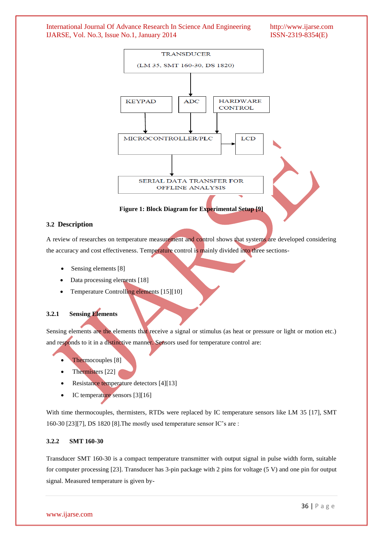

# **3.2 Description**

A review of researches on temperature measurement and control shows that systems are developed considering the accuracy and cost effectiveness. Temperature control is mainly divided into three sections-

- Sensing elements [8]
- Data processing elements [18]
- Temperature Controlling elements [15][10]

# **3.2.1 Sensing Elements**

Sensing elements are the elements that receive a signal or stimulus (as heat or pressure or light or motion etc.) and responds to it in a distinctive manner. Sensors used for temperature control are:

- Thermocouples [8]
- Thermisters [22]
- Resistance temperature detectors [4][13]
- IC temperature sensors [3][16]

With time thermocouples, thermisters, RTDs were replaced by IC temperature sensors like LM 35 [17], SMT 160-30 [23][7], DS 1820 [8].The mostly used temperature sensor IC's are :

# **3.2.2 SMT 160-30**

Transducer SMT 160-30 is a compact temperature transmitter with output signal in pulse width form, suitable for computer processing [23]. Transducer has 3-pin package with 2 pins for voltage (5 V) and one pin for output signal. Measured temperature is given by-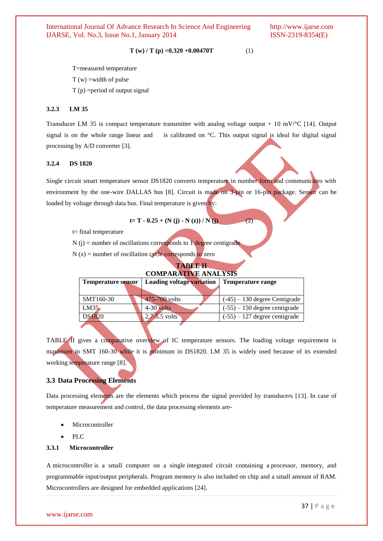$$
T(w) / T(p) = 0.320 + 0.00470T
$$
 (1)

T=measured temperature

 $T(w)$  =width of pulse

 $T(p)$  = period of output signal

# **3.2.3 LM 35**

Transducer LM 35 is compact temperature transmitter with analog voltage output + 10 mV/ $\degree$ C [14]. Output signal is on the whole range linear and is calibrated on °C. This output signal is ideal for digital signal processing by A/D converter [3].

#### **3.2.4 DS 1820**

Single circuit smart temperature sensor DS1820 converts temperature in number form and communicates with environment by the one-wire DALLAS bus [8]. Circuit is made on 3-pin or 16-pin package. Sensor can be loaded by voltage through data bus. Final temperature is given by:

$$
t = T - 0.25 + (N(j) - N(z)) / N(j)
$$
 (2)

t= final temperature

 $N(i)$  = number of oscillations corresponds to 1 degree centigrade

 $N(z)$  = number of oscillation cycle corresponds to zero

#### **TABLE II COMPARATIVE ANALYS**

| COMI ARATIVE ARALISIS     |                           |                                 |  |
|---------------------------|---------------------------|---------------------------------|--|
| <b>Temperature sensor</b> | Loading voltage variation | Temperature range               |  |
|                           |                           |                                 |  |
| SMT160-30                 | 475-700 volts             | $(-45) - 130$ degree Centigrade |  |
| LM35                      | $4-30$ volts              | $(-55) - 150$ degree centigrade |  |
| DS1820                    | $2.7 - 5.5$ volts         | $(-55) - 127$ degree centigrade |  |
|                           |                           |                                 |  |

TABLE II gives a comparative overview of IC temperature sensors. The loading voltage requirement is maximum in SMT 160-30 while it is minimum in DS1820. LM 35 is widely used because of its extended working temperature range [8].

### **3.3 Data Processing Elements**

Data processing elements are the elements which process the signal provided by transducers [13]. In case of temperature measurement and control, the data processing elements are-

- Microcontroller
- PLC

# **3.3.1 Microcontroller**

A microcontroller is a small computer on a single integrated circuit containing a processor, memory, and programmable input/output peripherals. Program memory is also included on chip and a small amount of RAM. Microcontrollers are designed for embedded applications [24].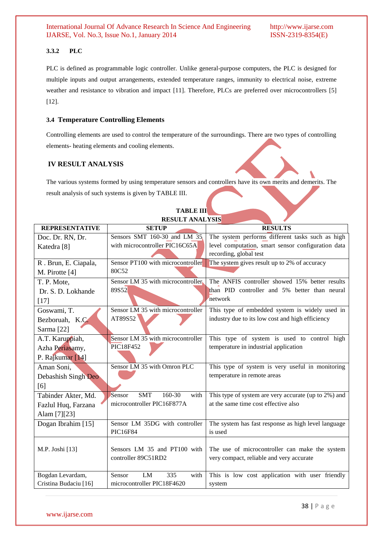# **3.3.2 PLC**

PLC is defined as programmable logic controller. Unlike general-purpose computers, the PLC is designed for multiple inputs and output arrangements, extended temperature ranges, immunity to electrical noise, extreme weather and resistance to vibration and impact [11]. Therefore, PLCs are preferred over microcontrollers [5] [12].

## **3.4 Temperature Controlling Elements**

Controlling elements are used to control the temperature of the surroundings. There are two types of controlling elements- heating elements and cooling elements.

# **IV RESULT ANALYSIS**

The various systems formed by using temperature sensors and controllers have its own merits and demerits. The result analysis of such systems is given by TABLE III.

| <b>REPRESENTATIVE</b> | WOODL INVIDED<br><b>SETUP</b>          | <b>RESULTS</b>                                       |  |
|-----------------------|----------------------------------------|------------------------------------------------------|--|
| Doc. Dr. RN, Dr.      | Sensors SMT 160-30 and LM 35           | The system performs different tasks such as high     |  |
| Katedra [8]           | with microcontroller PIC16C65A         | level computation, smart sensor configuration data   |  |
|                       |                                        | recording, global test                               |  |
| R. Brun, E. Ciapala,  | Sensor PT100 with microcontroller      | The system gives result up to 2% of accuracy         |  |
| M. Pirotte [4]        | 80C52                                  |                                                      |  |
| T. P. Mote,           | Sensor LM 35 with microcontroller      | The ANFIS controller showed 15% better results       |  |
| Dr. S. D. Lokhande    | 89S52                                  | than PID controller and 5% better than neural        |  |
| $[17]$                |                                        | network                                              |  |
| Goswami, T.           | Sensor LM 35 with microcontroller      | This type of embedded system is widely used in       |  |
| Bezboruah, K.C.       | AT89S52                                | industry due to its low cost and high efficiency     |  |
| Sarma [22]            |                                        |                                                      |  |
| A.T. Karuppiah,       | Sensor LM 35 with microcontroller      | This type of system is used to control high          |  |
| Azha Periasamy,       | PIC18F452                              | temperature in industrial application                |  |
| P. Rajkumar [14]      |                                        |                                                      |  |
| Aman Soni,            | Sensor LM 35 with Omron PLC            | This type of system is very useful in monitoring     |  |
| Debashish Singh Deo   |                                        | temperature in remote areas                          |  |
| [6]                   |                                        |                                                      |  |
| Tabinder Akter, Md.   | Sensor<br><b>SMT</b><br>160-30<br>with | This type of system are very accurate (up to 2%) and |  |
| Fazlul Huq, Farzana   | microcontroller PIC16F877A             | at the same time cost effective also                 |  |
| Alam [7][23]          |                                        |                                                      |  |
| Dogan Ibrahim [15]    | Sensor LM 35DG with controller         | The system has fast response as high level language  |  |
|                       | PIC16F84                               | is used                                              |  |
|                       |                                        |                                                      |  |
| M.P. Joshi [13]       | Sensors LM 35 and PT100 with           | The use of microcontroller can make the system       |  |
|                       | controller 89C51RD2                    | very compact, reliable and very accurate             |  |
| Bogdan Levardam,      | Sensor<br>LM<br>335<br>with            | This is low cost application with user friendly      |  |
| Cristina Budaciu [16] | microcontroller PIC18F4620             | system                                               |  |
|                       |                                        |                                                      |  |

# **TABLE III RESULT ANALYSIS**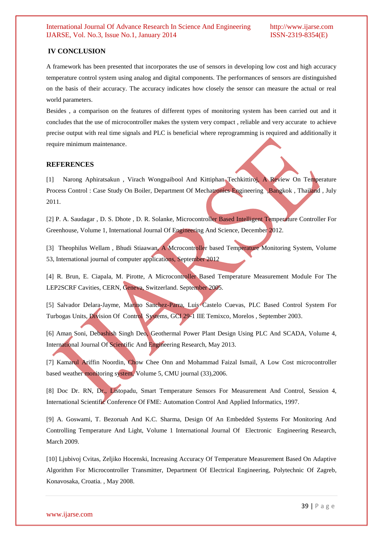# **IV CONCLUSION**

A framework has been presented that incorporates the use of sensors in developing low cost and high accuracy temperature control system using analog and digital components. The performances of sensors are distinguished on the basis of their accuracy. The accuracy indicates how closely the sensor can measure the actual or real world parameters.

Besides , a comparison on the features of different types of monitoring system has been carried out and it concludes that the use of microcontroller makes the system very compact , reliable and very accurate to achieve precise output with real time signals and PLC is beneficial where reprogramming is required and additionally it require minimum maintenance.

#### **REFERENCES**

[1] Narong Aphiratsakun , Virach Wongpaibool And Kittiphan Techkittiroj, A Review On Temperature Process Control : Case Study On Boiler, Department Of Mechatronics Engineering ,Bangkok , Thailand , July 2011.

[2] P. A. Saudagar, D. S. Dhote, D. R. Solanke, Microcontroller Based Intelligent Temperature Controller For Greenhouse, Volume 1, International Journal Of Engineering And Science, December 2012.

[3] Theophilus Wellam, Bhudi Stiaawan, A Mcrocontroller based Temperature Monitoring System, Volume 53, International journal of computer applications, September 2012

[4] R. Brun, E. Ciapala, M. Pirotte, A Microcontroller Based Temperature Measurement Module For The LEP2SCRF Cavities, CERN, Geneva, Switzerland. September 2005.

[5] Salvador Delara-Jayme, Marino Sanchez-Parra, Luis Castelo Cuevas, PLC Based Control System For Turbogas Units, Division Of Control Systems, GCI 29-1 IIE Temixco, Morelos , September 2003.

[6] Aman Soni, Debashish Singh Deo, Geothermal Power Plant Design Using PLC And SCADA, Volume 4, International Journal Of Scientific And Engineering Research, May 2013.

[7] Kamarul Ariffin Noordin, Chow Chee Onn and Mohammad Faizal Ismail, A Low Cost microcontroller based weather monitoring system, Volume 5, CMU journal (33),2006.

[8] Doc Dr. RN, Dr., Listopadu, Smart Temperature Sensors For Measurement And Control, Session 4, International Scientific Conference Of FME: Automation Control And Applied Informatics, 1997.

[9] A. Goswami, T. Bezoruah And K.C. Sharma, Design Of An Embedded Systems For Monitoring And Controlling Temperature And Light, Volume 1 International Journal Of Electronic Engineering Research, March 2009.

[10] Ljubivoj Cvitas, Zeljiko Hocenski, Increasing Accuracy Of Temperature Measurement Based On Adaptive Algorithm For Microcontroller Transmitter, Department Of Electrical Engineering, Polytechnic Of Zagreb, Konavosaka, Croatia. , May 2008.